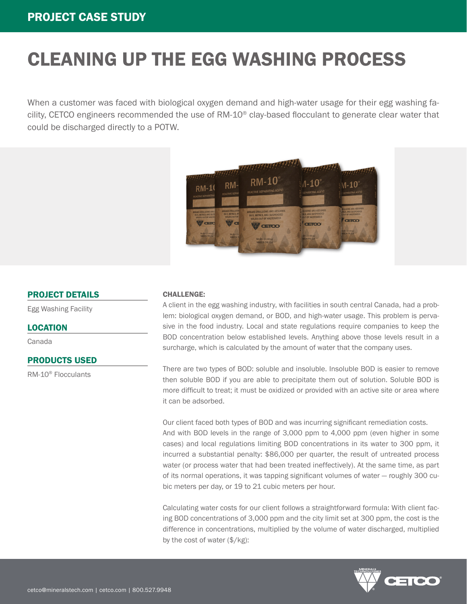# CLEANING UP THE EGG WASHING PROCESS

When a customer was faced with biological oxygen demand and high-water usage for their egg washing facility, CETCO engineers recommended the use of RM-10® clay-based flocculant to generate clear water that could be discharged directly to a POTW.



#### PROJECT DETAILS

Egg Washing Facility

#### LOCATION

Canada

### PRODUCTS USED

RM-10® Flocculants

#### CHALLENGE:

A client in the egg washing industry, with facilities in south central Canada, had a problem: biological oxygen demand, or BOD, and high-water usage. This problem is pervasive in the food industry. Local and state regulations require companies to keep the BOD concentration below established levels. Anything above those levels result in a surcharge, which is calculated by the amount of water that the company uses.

There are two types of BOD: soluble and insoluble. Insoluble BOD is easier to remove then soluble BOD if you are able to precipitate them out of solution. Soluble BOD is more difficult to treat; it must be oxidized or provided with an active site or area where it can be adsorbed.

Our client faced both types of BOD and was incurring significant remediation costs. And with BOD levels in the range of 3,000 ppm to 4,000 ppm (even higher in some cases) and local regulations limiting BOD concentrations in its water to 300 ppm, it incurred a substantial penalty: \$86,000 per quarter, the result of untreated process water (or process water that had been treated ineffectively). At the same time, as part of its normal operations, it was tapping significant volumes of water — roughly 300 cubic meters per day, or 19 to 21 cubic meters per hour.

Calculating water costs for our client follows a straightforward formula: With client facing BOD concentrations of 3,000 ppm and the city limit set at 300 ppm, the cost is the difference in concentrations, multiplied by the volume of water discharged, multiplied by the cost of water (\$/kg):

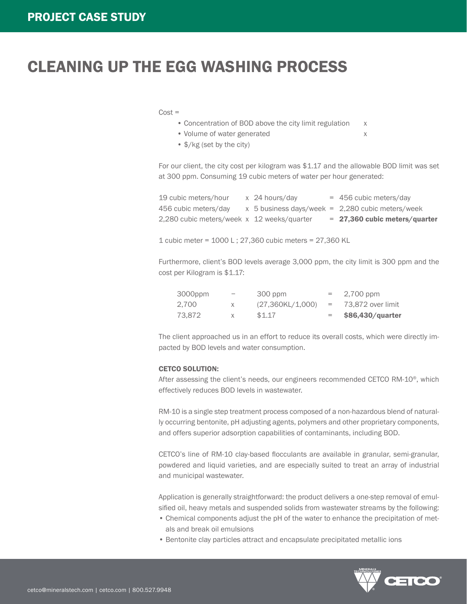## CLEANING UP THE EGG WASHING PROCESS

- $Cost =$ 
	- Concentration of BOD above the city limit regulation x
	- Volume of water generated x
	- \$/kg (set by the city)

For our client, the city cost per kilogram was \$1.17 and the allowable BOD limit was set at 300 ppm. Consuming 19 cubic meters of water per hour generated:

| 19 cubic meters/hour                       | x 24 hours/day | $= 456$ cubic meters/day                           |
|--------------------------------------------|----------------|----------------------------------------------------|
| 456 cubic meters/day                       |                | $x$ 5 business days/week = 2,280 cubic meters/week |
| 2,280 cubic meters/week x 12 weeks/quarter |                | $= 27,360$ cubic meters/quarter                    |
|                                            |                |                                                    |

1 cubic meter = 1000 L ; 27,360 cubic meters = 27,360 KL

Furthermore, client's BOD levels average 3,000 ppm, the city limit is 300 ppm and the cost per Kilogram is \$1.17:

| 3000ppm |    | 300 ppm          | $=$ $-$ | 2,700 ppm          |
|---------|----|------------------|---------|--------------------|
| 2.700   | X. | (27,360KL/1,000) | $=$ $-$ | 73,872 over limit  |
| 73.872  | X  | \$1.17           | $=$     | $$86,430/$ quarter |

The client approached us in an effort to reduce its overall costs, which were directly impacted by BOD levels and water consumption.

#### CETCO SOLUTION:

After assessing the client's needs, our engineers recommended CETCO RM-10®, which effectively reduces BOD levels in wastewater.

RM-10 is a single step treatment process composed of a non-hazardous blend of naturally occurring bentonite, pH adjusting agents, polymers and other proprietary components, and offers superior adsorption capabilities of contaminants, including BOD.

CETCO's line of RM-10 clay-based flocculants are available in granular, semi-granular, powdered and liquid varieties, and are especially suited to treat an array of industrial and municipal wastewater.

Application is generally straightforward: the product delivers a one-step removal of emulsified oil, heavy metals and suspended solids from wastewater streams by the following:

- Chemical components adjust the pH of the water to enhance the precipitation of metals and break oil emulsions
- Bentonite clay particles attract and encapsulate precipitated metallic ions